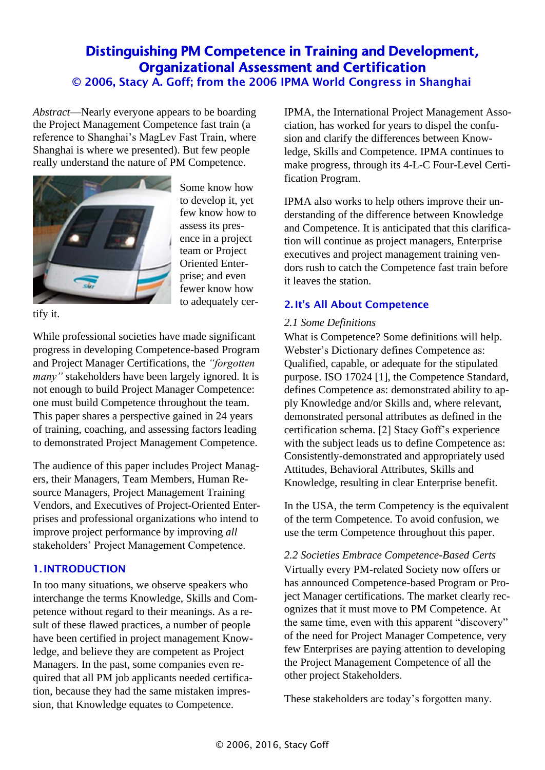# Distinguishing PM Competence in Training and Development, Organizational Assessment and Certification © 2006, Stacy A. Goff; from the 2006 IPMA World Congress in Shanghai

*Abstract*—Nearly everyone appears to be boarding the Project Management Competence fast train (a reference to Shanghai's MagLev Fast Train, where Shanghai is where we presented). But few people really understand the nature of PM Competence.



Some know how to develop it, yet few know how to assess its presence in a project team or Project Oriented Enterprise; and even fewer know how to adequately cer-

tify it.

While professional societies have made significant progress in developing Competence-based Program and Project Manager Certifications, the *"forgotten many"* stakeholders have been largely ignored. It is not enough to build Project Manager Competence: one must build Competence throughout the team. This paper shares a perspective gained in 24 years of training, coaching, and assessing factors leading to demonstrated Project Management Competence.

The audience of this paper includes Project Managers, their Managers, Team Members, Human Resource Managers, Project Management Training Vendors, and Executives of Project-Oriented Enterprises and professional organizations who intend to improve project performance by improving *all* stakeholders' Project Management Competence.

### 1. INTRODUCTION

In too many situations, we observe speakers who interchange the terms Knowledge, Skills and Competence without regard to their meanings. As a result of these flawed practices, a number of people have been certified in project management Knowledge, and believe they are competent as Project Managers. In the past, some companies even required that all PM job applicants needed certification, because they had the same mistaken impression, that Knowledge equates to Competence.

IPMA, the International Project Management Association, has worked for years to dispel the confusion and clarify the differences between Knowledge, Skills and Competence. IPMA continues to make progress, through its 4-L-C Four-Level Certification Program.

IPMA also works to help others improve their understanding of the difference between Knowledge and Competence. It is anticipated that this clarification will continue as project managers, Enterprise executives and project management training vendors rush to catch the Competence fast train before it leaves the station.

### 2. It's All About Competence

#### *2.1 Some Definitions*

What is Competence? Some definitions will help. Webster's Dictionary defines Competence as: Qualified, capable, or adequate for the stipulated purpose. ISO 17024 [1], the Competence Standard, defines Competence as: demonstrated ability to apply Knowledge and/or Skills and, where relevant, demonstrated personal attributes as defined in the certification schema. [2] Stacy Goff's experience with the subject leads us to define Competence as: Consistently-demonstrated and appropriately used Attitudes, Behavioral Attributes, Skills and Knowledge, resulting in clear Enterprise benefit.

In the USA, the term Competency is the equivalent of the term Competence. To avoid confusion, we use the term Competence throughout this paper.

*2.2 Societies Embrace Competence-Based Certs*  Virtually every PM-related Society now offers or has announced Competence-based Program or Project Manager certifications. The market clearly recognizes that it must move to PM Competence. At the same time, even with this apparent "discovery" of the need for Project Manager Competence, very few Enterprises are paying attention to developing the Project Management Competence of all the other project Stakeholders.

These stakeholders are today's forgotten many.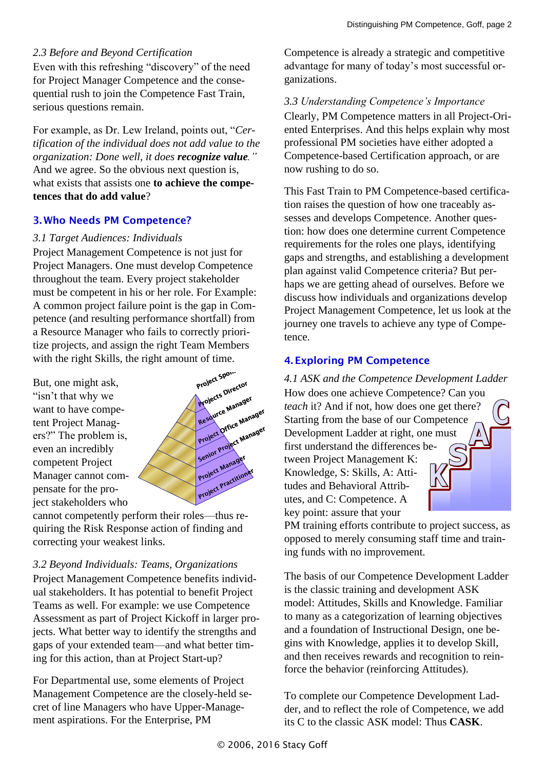### *2.3 Before and Beyond Certification*

Even with this refreshing "discovery" of the need for Project Manager Competence and the consequential rush to join the Competence Fast Train, serious questions remain.

For example, as Dr. Lew Ireland, points out, "*Certification of the individual does not add value to the organization: Done well, it does recognize value."* And we agree. So the obvious next question is, what exists that assists one **to achieve the competences that do add value**?

# 3. Who Needs PM Competence?

### *3.1 Target Audiences: Individuals*

Project Management Competence is not just for Project Managers. One must develop Competence throughout the team. Every project stakeholder must be competent in his or her role. For Example: A common project failure point is the gap in Competence (and resulting performance shortfall) from a Resource Manager who fails to correctly prioritize projects, and assign the right Team Members with the right Skills, the right amount of time.

But, one might ask, "isn't that why we want to have competent Project Managers?" The problem is, even an incredibly competent Project Manager cannot compensate for the project stakeholders who



cannot competently perform their roles—thus requiring the Risk Response action of finding and correcting your weakest links.

*3.2 Beyond Individuals: Teams, Organizations* Project Management Competence benefits individual stakeholders. It has potential to benefit Project Teams as well. For example: we use Competence Assessment as part of Project Kickoff in larger projects. What better way to identify the strengths and gaps of your extended team—and what better timing for this action, than at Project Start-up?

For Departmental use, some elements of Project Management Competence are the closely-held secret of line Managers who have Upper-Management aspirations. For the Enterprise, PM

Competence is already a strategic and competitive advantage for many of today's most successful organizations.

*3.3 Understanding Competence's Importance* Clearly, PM Competence matters in all Project-Oriented Enterprises. And this helps explain why most professional PM societies have either adopted a Competence-based Certification approach, or are now rushing to do so.

This Fast Train to PM Competence-based certification raises the question of how one traceably assesses and develops Competence. Another question: how does one determine current Competence requirements for the roles one plays, identifying gaps and strengths, and establishing a development plan against valid Competence criteria? But perhaps we are getting ahead of ourselves. Before we discuss how individuals and organizations develop Project Management Competence, let us look at the journey one travels to achieve any type of Competence.

# 4. Exploring PM Competence

*4.1 ASK and the Competence Development Ladder* How does one achieve Competence? Can you *teach* it? And if not, how does one get there? Starting from the base of our Competence Development Ladder at right, one must first understand the differences between Project Management K: Knowledge, S: Skills, A: Attitudes and Behavioral Attributes, and C: Competence. A key point: assure that your

PM training efforts contribute to project success, as opposed to merely consuming staff time and training funds with no improvement.

The basis of our Competence Development Ladder is the classic training and development ASK model: Attitudes, Skills and Knowledge. Familiar to many as a categorization of learning objectives and a foundation of Instructional Design, one begins with Knowledge, applies it to develop Skill, and then receives rewards and recognition to reinforce the behavior (reinforcing Attitudes).

To complete our Competence Development Ladder, and to reflect the role of Competence, we add its C to the classic ASK model: Thus **CASK**.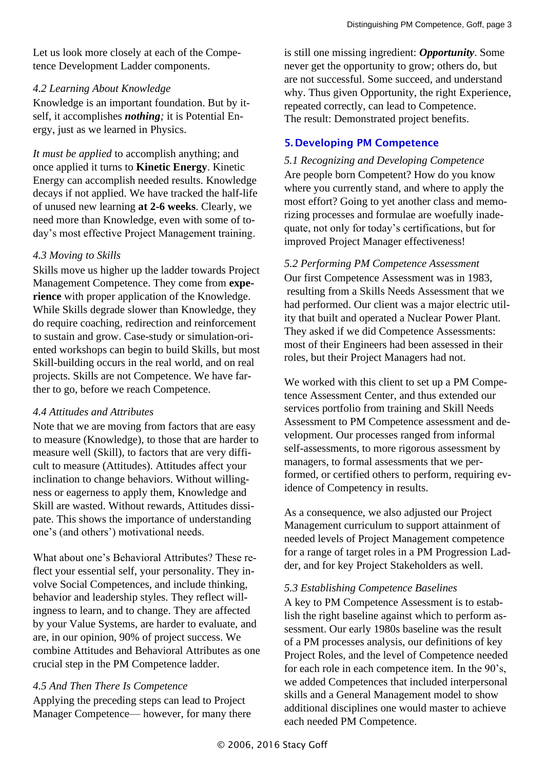Let us look more closely at each of the Competence Development Ladder components.

#### *4.2 Learning About Knowledge*

Knowledge is an important foundation. But by itself, it accomplishes *nothing;* it is Potential Energy, just as we learned in Physics.

*It must be applied* to accomplish anything; and once applied it turns to **Kinetic Energy**. Kinetic Energy can accomplish needed results. Knowledge decays if not applied. We have tracked the half-life of unused new learning **at 2-6 weeks**. Clearly, we need more than Knowledge, even with some of today's most effective Project Management training.

### *4.3 Moving to Skills*

Skills move us higher up the ladder towards Project Management Competence. They come from **experience** with proper application of the Knowledge. While Skills degrade slower than Knowledge, they do require coaching, redirection and reinforcement to sustain and grow. Case-study or simulation-oriented workshops can begin to build Skills, but most Skill-building occurs in the real world, and on real projects. Skills are not Competence. We have farther to go, before we reach Competence.

### *4.4 Attitudes and Attributes*

Note that we are moving from factors that are easy to measure (Knowledge), to those that are harder to measure well (Skill), to factors that are very difficult to measure (Attitudes). Attitudes affect your inclination to change behaviors. Without willingness or eagerness to apply them, Knowledge and Skill are wasted. Without rewards, Attitudes dissipate. This shows the importance of understanding one's (and others') motivational needs.

What about one's Behavioral Attributes? These reflect your essential self, your personality. They involve Social Competences, and include thinking, behavior and leadership styles. They reflect willingness to learn, and to change. They are affected by your Value Systems, are harder to evaluate, and are, in our opinion, 90% of project success. We combine Attitudes and Behavioral Attributes as one crucial step in the PM Competence ladder.

# *4.5 And Then There Is Competence*

Applying the preceding steps can lead to Project Manager Competence— however, for many there is still one missing ingredient: *Opportunity*. Some never get the opportunity to grow; others do, but are not successful. Some succeed, and understand why. Thus given Opportunity, the right Experience, repeated correctly, can lead to Competence. The result: Demonstrated project benefits.

# 5. Developing PM Competence

*5.1 Recognizing and Developing Competence* Are people born Competent? How do you know where you currently stand, and where to apply the most effort? Going to yet another class and memorizing processes and formulae are woefully inadequate, not only for today's certifications, but for improved Project Manager effectiveness!

*5.2 Performing PM Competence Assessment* Our first Competence Assessment was in 1983, resulting from a Skills Needs Assessment that we had performed. Our client was a major electric utility that built and operated a Nuclear Power Plant. They asked if we did Competence Assessments: most of their Engineers had been assessed in their roles, but their Project Managers had not.

We worked with this client to set up a PM Competence Assessment Center, and thus extended our services portfolio from training and Skill Needs Assessment to PM Competence assessment and development. Our processes ranged from informal self-assessments, to more rigorous assessment by managers, to formal assessments that we performed, or certified others to perform, requiring evidence of Competency in results.

As a consequence, we also adjusted our Project Management curriculum to support attainment of needed levels of Project Management competence for a range of target roles in a PM Progression Ladder, and for key Project Stakeholders as well.

### *5.3 Establishing Competence Baselines*

A key to PM Competence Assessment is to establish the right baseline against which to perform assessment. Our early 1980s baseline was the result of a PM processes analysis, our definitions of key Project Roles, and the level of Competence needed for each role in each competence item. In the 90's, we added Competences that included interpersonal skills and a General Management model to show additional disciplines one would master to achieve each needed PM Competence.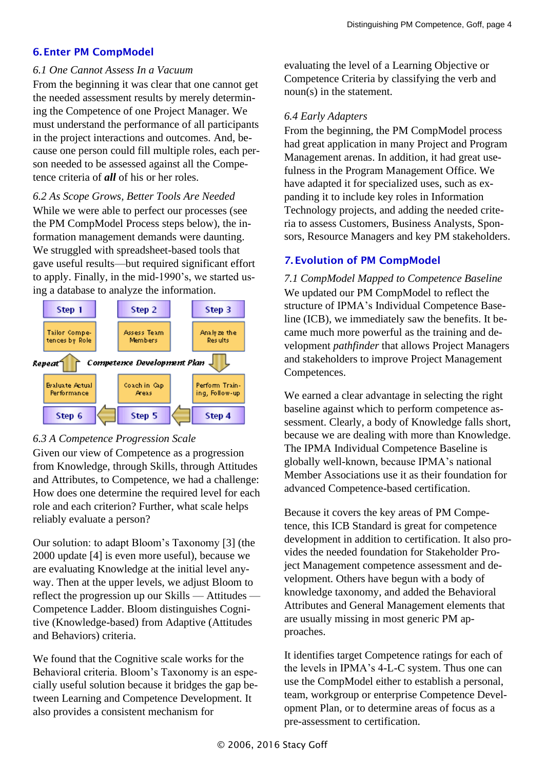### 6. Enter PM CompModel

#### *6.1 One Cannot Assess In a Vacuum*

From the beginning it was clear that one cannot get the needed assessment results by merely determining the Competence of one Project Manager. We must understand the performance of all participants in the project interactions and outcomes. And, because one person could fill multiple roles, each person needed to be assessed against all the Competence criteria of *all* of his or her roles.

#### *6.2 As Scope Grows, Better Tools Are Needed*

While we were able to perfect our processes (see the PM CompModel Process steps below), the information management demands were daunting. We struggled with spreadsheet-based tools that gave useful results—but required significant effort to apply. Finally, in the mid-1990's, we started using a database to analyze the information.



### *6.3 A Competence Progression Scale*

Given our view of Competence as a progression from Knowledge, through Skills, through Attitudes and Attributes, to Competence, we had a challenge: How does one determine the required level for each role and each criterion? Further, what scale helps reliably evaluate a person?

Our solution: to adapt Bloom's Taxonomy [3] (the 2000 update [4] is even more useful), because we are evaluating Knowledge at the initial level anyway. Then at the upper levels, we adjust Bloom to reflect the progression up our Skills — Attitudes — Competence Ladder. Bloom distinguishes Cognitive (Knowledge-based) from Adaptive (Attitudes and Behaviors) criteria.

We found that the Cognitive scale works for the Behavioral criteria. Bloom's Taxonomy is an especially useful solution because it bridges the gap between Learning and Competence Development. It also provides a consistent mechanism for

evaluating the level of a Learning Objective or Competence Criteria by classifying the verb and noun(s) in the statement.

### *6.4 Early Adapters*

From the beginning, the PM CompModel process had great application in many Project and Program Management arenas. In addition, it had great usefulness in the Program Management Office. We have adapted it for specialized uses, such as expanding it to include key roles in Information Technology projects, and adding the needed criteria to assess Customers, Business Analysts, Sponsors, Resource Managers and key PM stakeholders.

# 7. Evolution of PM CompModel

*7.1 CompModel Mapped to Competence Baseline*  We updated our PM CompModel to reflect the structure of IPMA's Individual Competence Baseline (ICB), we immediately saw the benefits. It became much more powerful as the training and development *pathfinder* that allows Project Managers and stakeholders to improve Project Management Competences.

We earned a clear advantage in selecting the right baseline against which to perform competence assessment. Clearly, a body of Knowledge falls short, because we are dealing with more than Knowledge. The IPMA Individual Competence Baseline is globally well-known, because IPMA's national Member Associations use it as their foundation for advanced Competence-based certification.

Because it covers the key areas of PM Competence, this ICB Standard is great for competence development in addition to certification. It also provides the needed foundation for Stakeholder Project Management competence assessment and development. Others have begun with a body of knowledge taxonomy, and added the Behavioral Attributes and General Management elements that are usually missing in most generic PM approaches.

It identifies target Competence ratings for each of the levels in IPMA's 4-L-C system. Thus one can use the CompModel either to establish a personal, team, workgroup or enterprise Competence Development Plan, or to determine areas of focus as a pre-assessment to certification.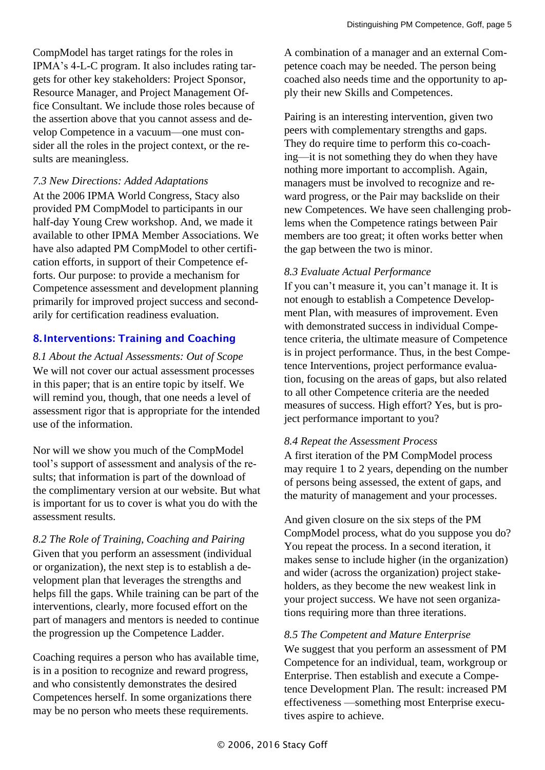CompModel has target ratings for the roles in IPMA's 4-L-C program. It also includes rating targets for other key stakeholders: Project Sponsor, Resource Manager, and Project Management Office Consultant. We include those roles because of the assertion above that you cannot assess and develop Competence in a vacuum—one must consider all the roles in the project context, or the results are meaningless.

#### *7.3 New Directions: Added Adaptations*

At the 2006 IPMA World Congress, Stacy also provided PM CompModel to participants in our half-day Young Crew workshop. And, we made it available to other IPMA Member Associations. We have also adapted PM CompModel to other certification efforts, in support of their Competence efforts. Our purpose: to provide a mechanism for Competence assessment and development planning primarily for improved project success and secondarily for certification readiness evaluation.

### 8. Interventions: Training and Coaching

*8.1 About the Actual Assessments: Out of Scope* We will not cover our actual assessment processes in this paper; that is an entire topic by itself. We will remind you, though, that one needs a level of assessment rigor that is appropriate for the intended use of the information.

Nor will we show you much of the CompModel tool's support of assessment and analysis of the results; that information is part of the download of the complimentary version at our website. But what is important for us to cover is what you do with the assessment results.

*8.2 The Role of Training, Coaching and Pairing* Given that you perform an assessment (individual or organization), the next step is to establish a development plan that leverages the strengths and helps fill the gaps. While training can be part of the interventions, clearly, more focused effort on the part of managers and mentors is needed to continue the progression up the Competence Ladder.

Coaching requires a person who has available time, is in a position to recognize and reward progress, and who consistently demonstrates the desired Competences herself. In some organizations there may be no person who meets these requirements.

A combination of a manager and an external Competence coach may be needed. The person being coached also needs time and the opportunity to apply their new Skills and Competences.

Pairing is an interesting intervention, given two peers with complementary strengths and gaps. They do require time to perform this co-coaching—it is not something they do when they have nothing more important to accomplish. Again, managers must be involved to recognize and reward progress, or the Pair may backslide on their new Competences. We have seen challenging problems when the Competence ratings between Pair members are too great; it often works better when the gap between the two is minor.

### *8.3 Evaluate Actual Performance*

If you can't measure it, you can't manage it. It is not enough to establish a Competence Development Plan, with measures of improvement. Even with demonstrated success in individual Competence criteria, the ultimate measure of Competence is in project performance. Thus, in the best Competence Interventions, project performance evaluation, focusing on the areas of gaps, but also related to all other Competence criteria are the needed measures of success. High effort? Yes, but is project performance important to you?

### *8.4 Repeat the Assessment Process*

A first iteration of the PM CompModel process may require 1 to 2 years, depending on the number of persons being assessed, the extent of gaps, and the maturity of management and your processes.

And given closure on the six steps of the PM CompModel process, what do you suppose you do? You repeat the process. In a second iteration, it makes sense to include higher (in the organization) and wider (across the organization) project stakeholders, as they become the new weakest link in your project success. We have not seen organizations requiring more than three iterations.

#### *8.5 The Competent and Mature Enterprise*

We suggest that you perform an assessment of PM Competence for an individual, team, workgroup or Enterprise. Then establish and execute a Competence Development Plan. The result: increased PM effectiveness —something most Enterprise executives aspire to achieve.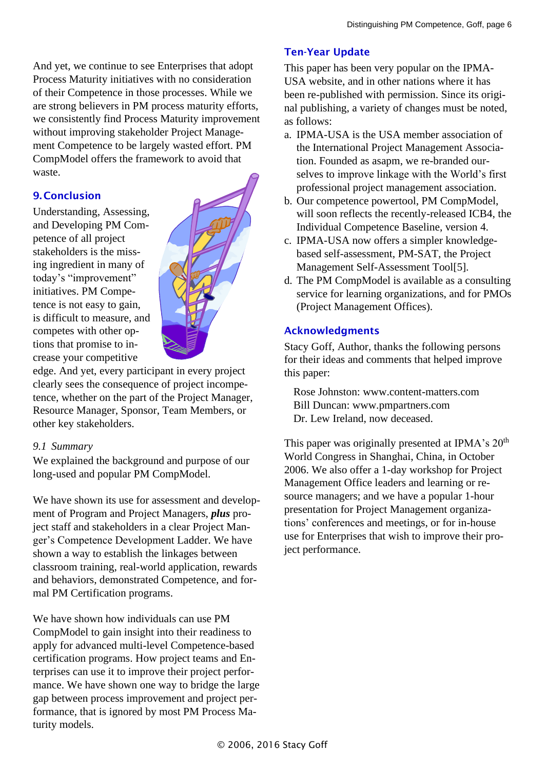And yet, we continue to see Enterprises that adopt Process Maturity initiatives with no consideration of their Competence in those processes. While we are strong believers in PM process maturity efforts, we consistently find Process Maturity improvement without improving stakeholder Project Management Competence to be largely wasted effort. PM CompModel offers the framework to avoid that waste.

# 9. Conclusion

Understanding, Assessing, and Developing PM Competence of all project stakeholders is the missing ingredient in many of today's "improvement" initiatives. PM Competence is not easy to gain, is difficult to measure, and competes with other options that promise to increase your competitive



edge. And yet, every participant in every project clearly sees the consequence of project incompetence, whether on the part of the Project Manager, Resource Manager, Sponsor, Team Members, or other key stakeholders.

### *9.1 Summary*

We explained the background and purpose of our long-used and popular PM CompModel.

We have shown its use for assessment and development of Program and Project Managers, *plus* project staff and stakeholders in a clear Project Manger's Competence Development Ladder. We have shown a way to establish the linkages between classroom training, real-world application, rewards and behaviors, demonstrated Competence, and formal PM Certification programs.

We have shown how individuals can use PM CompModel to gain insight into their readiness to apply for advanced multi-level Competence-based certification programs. How project teams and Enterprises can use it to improve their project performance. We have shown one way to bridge the large gap between process improvement and project performance, that is ignored by most PM Process Maturity models.

### Ten-Year Update

This paper has been very popular on the IPMA-USA website, and in other nations where it has been re-published with permission. Since its original publishing, a variety of changes must be noted, as follows:

- a. IPMA-USA is the USA member association of the International Project Management Association. Founded as asapm, we re-branded ourselves to improve linkage with the World's first professional project management association.
- b. Our competence powertool, PM CompModel, will soon reflects the recently-released ICB4, the Individual Competence Baseline, version 4.
- c. IPMA-USA now offers a simpler knowledgebased self-assessment, PM-SAT, the Project Management Self-Assessment Tool[5].
- d. The PM CompModel is available as a consulting service for learning organizations, and for PMOs (Project Management Offices).

### Acknowledgments

Stacy Goff, Author, thanks the following persons for their ideas and comments that helped improve this paper:

Rose Johnston: www.content-matters.com Bill Duncan: www.pmpartners.com Dr. Lew Ireland, now deceased.

This paper was originally presented at IPMA's  $20<sup>th</sup>$ World Congress in Shanghai, China, in October 2006. We also offer a 1-day workshop for Project Management Office leaders and learning or resource managers; and we have a popular 1-hour presentation for Project Management organizations' conferences and meetings, or for in-house use for Enterprises that wish to improve their project performance.